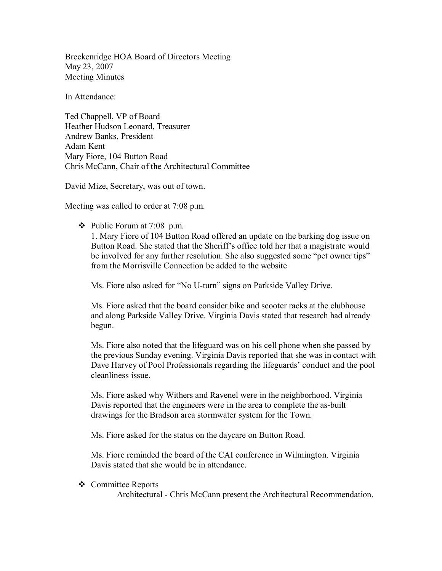Breckenridge HOA Board of Directors Meeting May 23, 2007 Meeting Minutes

In Attendance:

Ted Chappell, VP of Board Heather Hudson Leonard, Treasurer Andrew Banks, President Adam Kent Mary Fiore, 104 Button Road Chris McCann, Chair of the Architectural Committee

David Mize, Secretary, was out of town.

Meeting was called to order at 7:08 p.m.

 $\div$  Public Forum at 7:08 p.m.

1. Mary Fiore of 104 Button Road offered an update on the barking dog issue on Button Road. She stated that the Sheriff's office told her that a magistrate would be involved for any further resolution. She also suggested some "pet owner tips" from the Morrisville Connection be added to the website

Ms. Fiore also asked for "No U-turn" signs on Parkside Valley Drive.

Ms. Fiore asked that the board consider bike and scooter racks at the clubhouse and along Parkside Valley Drive. Virginia Davis stated that research had already begun.

Ms. Fiore also noted that the lifeguard was on his cell phone when she passed by the previous Sunday evening. Virginia Davis reported that she was in contact with Dave Harvey of Pool Professionals regarding the lifeguards' conduct and the pool cleanliness issue.

Ms. Fiore asked why Withers and Ravenel were in the neighborhood. Virginia Davis reported that the engineers were in the area to complete the as-built drawings for the Bradson area stormwater system for the Town.

Ms. Fiore asked for the status on the daycare on Button Road.

Ms. Fiore reminded the board of the CAI conference in Wilmington. Virginia Davis stated that she would be in attendance.

❖ Committee Reports

Architectural - Chris McCann present the Architectural Recommendation.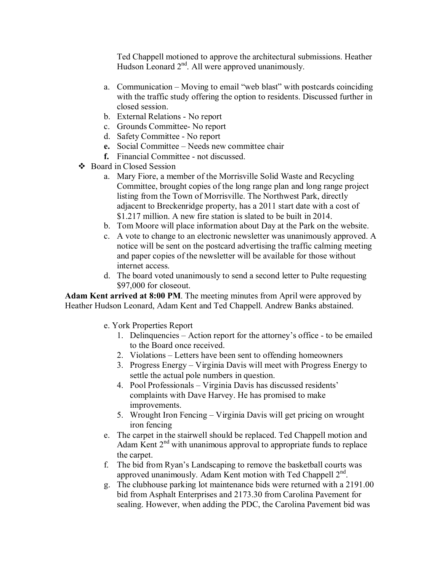Ted Chappell motioned to approve the architectural submissions. Heather Hudson Leonard  $2<sup>nd</sup>$ . All were approved unanimously.

- a. Communication Moving to email "web blast" with postcards coinciding with the traffic study offering the option to residents. Discussed further in closed session.
- b. External Relations No report
- c. Grounds Committee- No report
- d. Safety Committee No report
- **e.** Social Committee Needs new committee chair
- **f.** Financial Committee not discussed.
- Board in Closed Session
	- a. Mary Fiore, a member of the Morrisville Solid Waste and Recycling Committee, brought copies of the long range plan and long range project listing from the Town of Morrisville. The Northwest Park, directly adjacent to Breckenridge property, has a 2011 start date with a cost of \$1.217 million. A new fire station is slated to be built in 2014.
	- b. Tom Moore will place information about Day at the Park on the website.
	- c. A vote to change to an electronic newsletter was unanimously approved. A notice will be sent on the postcard advertising the traffic calming meeting and paper copies of the newsletter will be available for those without internet access.
	- d. The board voted unanimously to send a second letter to Pulte requesting \$97,000 for closeout.

**Adam Kent arrived at 8:00 PM**. The meeting minutes from April were approved by Heather Hudson Leonard, Adam Kent and Ted Chappell. Andrew Banks abstained.

- e. York Properties Report
	- 1. Delinquencies Action report for the attorney's office to be emailed to the Board once received.
	- 2. Violations Letters have been sent to offending homeowners
	- 3. Progress Energy Virginia Davis will meet with Progress Energy to settle the actual pole numbers in question.
	- 4. Pool Professionals Virginia Davis has discussed residents' complaints with Dave Harvey. He has promised to make improvements.
	- 5. Wrought Iron Fencing Virginia Davis will get pricing on wrought iron fencing
- e. The carpet in the stairwell should be replaced. Ted Chappell motion and Adam Kent  $2<sup>nd</sup>$  with unanimous approval to appropriate funds to replace the carpet.
- f. The bid from Ryan's Landscaping to remove the basketball courts was approved unanimously. Adam Kent motion with Ted Chappell 2nd.
- g. The clubhouse parking lot maintenance bids were returned with a 2191.00 bid from Asphalt Enterprises and 2173.30 from Carolina Pavement for sealing. However, when adding the PDC, the Carolina Pavement bid was